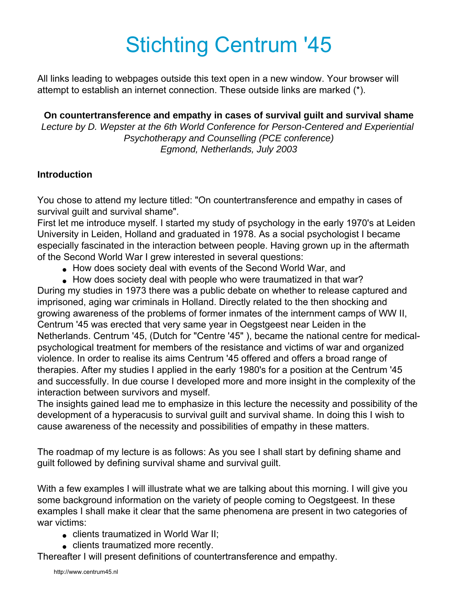# Stichting Centrum '45

All links leading to webpages outside this text open in a new window. Your browser will attempt to establish an internet connection. These outside links are marked (\*).

**On countertransference and empathy in cases of survival guilt and survival shame** *Lecture by D. Wepster at the 6th World Conference for Person-Centered and Experiential Psychotherapy and Counselling (PCE conference) Egmond, Netherlands, July 2003*

#### **Introduction**

You chose to attend my lecture titled: "On countertransference and empathy in cases of survival guilt and survival shame".

First let me introduce myself. I started my study of psychology in the early 1970's at Leiden University in Leiden, Holland and graduated in 1978. As a social psychologist I became especially fascinated in the interaction between people. Having grown up in the aftermath of the Second World War I grew interested in several questions:

- How does society deal with events of the Second World War, and
- How does society deal with people who were traumatized in that war?

During my studies in 1973 there was a public debate on whether to release captured and imprisoned, aging war criminals in Holland. Directly related to the then shocking and growing awareness of the problems of former inmates of the internment camps of WW II, Centrum '45 was erected that very same year in Oegstgeest near Leiden in the Netherlands. Centrum '45, (Dutch for "Centre '45" ), became the national centre for medicalpsychological treatment for members of the resistance and victims of war and organized violence. In order to realise its aims Centrum '45 offered and offers a broad range of therapies. After my studies I applied in the early 1980's for a position at the Centrum '45 and successfully. In due course I developed more and more insight in the complexity of the interaction between survivors and myself.

The insights gained lead me to emphasize in this lecture the necessity and possibility of the development of a hyperacusis to survival guilt and survival shame. In doing this I wish to cause awareness of the necessity and possibilities of empathy in these matters.

The roadmap of my lecture is as follows: As you see I shall start by defining shame and guilt followed by defining survival shame and survival guilt.

With a few examples I will illustrate what we are talking about this morning. I will give you some background information on the variety of people coming to Oegstgeest. In these examples I shall make it clear that the same phenomena are present in two categories of war victims:

- clients traumatized in World War II;
- clients traumatized more recently.

Thereafter I will present definitions of countertransference and empathy.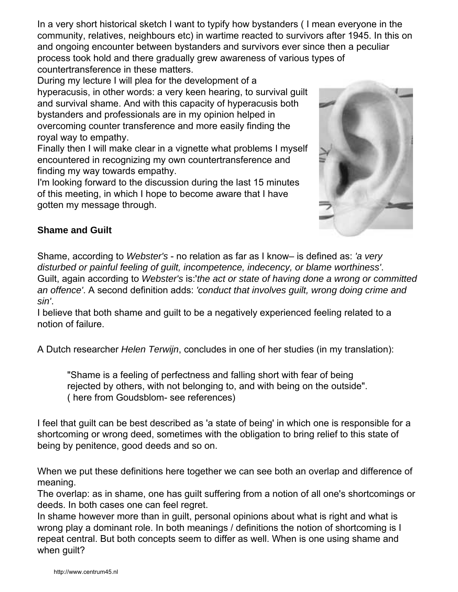In a very short historical sketch I want to typify how bystanders ( I mean everyone in the community, relatives, neighbours etc) in wartime reacted to survivors after 1945. In this on and ongoing encounter between bystanders and survivors ever since then a peculiar process took hold and there gradually grew awareness of various types of countertransference in these matters.

During my lecture I will plea for the development of a hyperacusis, in other words: a very keen hearing, to survival guilt and survival shame. And with this capacity of hyperacusis both bystanders and professionals are in my opinion helped in overcoming counter transference and more easily finding the royal way to empathy.

Finally then I will make clear in a vignette what problems I myself encountered in recognizing my own countertransference and finding my way towards empathy.

I'm looking forward to the discussion during the last 15 minutes of this meeting, in which I hope to become aware that I have gotten my message through.



## **Shame and Guilt**

Shame, according to *Webster's* - no relation as far as I know– is defined as: *'a very disturbed or painful feeling of guilt, incompetence, indecency, or blame worthiness'*. Guilt, again according to *Webster's* is:'*the act or state of having done a wrong or committed an offence'*. A second definition adds: *'conduct that involves guilt, wrong doing crime and sin'*.

I believe that both shame and guilt to be a negatively experienced feeling related to a notion of failure.

A Dutch researcher *Helen Terwijn*, concludes in one of her studies (in my translation):

"Shame is a feeling of perfectness and falling short with fear of being rejected by others, with not belonging to, and with being on the outside". ( here from Goudsblom- see references)

I feel that guilt can be best described as 'a state of being' in which one is responsible for a shortcoming or wrong deed, sometimes with the obligation to bring relief to this state of being by penitence, good deeds and so on.

When we put these definitions here together we can see both an overlap and difference of meaning.

The overlap: as in shame, one has guilt suffering from a notion of all one's shortcomings or deeds. In both cases one can feel regret.

In shame however more than in guilt, personal opinions about what is right and what is wrong play a dominant role. In both meanings / definitions the notion of shortcoming is I repeat central. But both concepts seem to differ as well. When is one using shame and when guilt?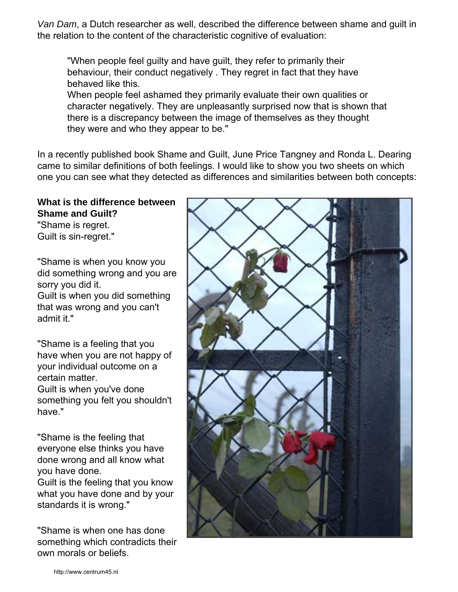*Van Dam*, a Dutch researcher as well, described the difference between shame and guilt in the relation to the content of the characteristic cognitive of evaluation:

"When people feel guilty and have guilt, they refer to primarily their behaviour, their conduct negatively . They regret in fact that they have behaved like this.

When people feel ashamed they primarily evaluate their own qualities or character negatively. They are unpleasantly surprised now that is shown that there is a discrepancy between the image of themselves as they thought they were and who they appear to be."

In a recently published book Shame and Guilt, June Price Tangney and Ronda L. Dearing came to similar definitions of both feelings. I would like to show you two sheets on which one you can see what they detected as differences and similarities between both concepts:

#### **What is the difference between Shame and Guilt?**

"Shame is regret. Guilt is sin-regret."

"Shame is when you know you did something wrong and you are sorry you did it. Guilt is when you did something that was wrong and you can't admit it."

"Shame is a feeling that you have when you are not happy of your individual outcome on a certain matter. Guilt is when you've done something you felt you shouldn't have."

"Shame is the feeling that everyone else thinks you have done wrong and all know what you have done. Guilt is the feeling that you know what you have done and by your standards it is wrong."

"Shame is when one has done something which contradicts their own morals or beliefs.

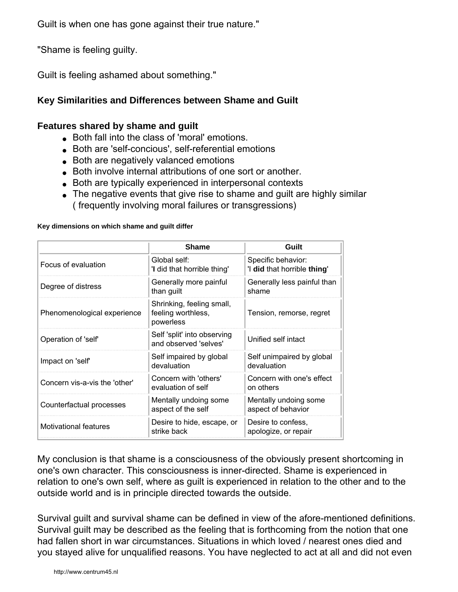Guilt is when one has gone against their true nature."

"Shame is feeling guilty.

Guilt is feeling ashamed about something."

## **Key Similarities and Differences between Shame and Guilt**

#### **Features shared by shame and guilt**

- Both fall into the class of 'moral' emotions.
- Both are 'self-concious', self-referential emotions
- Both are negatively valanced emotions
- Both involve internal attributions of one sort or another.
- Both are typically experienced in interpersonal contexts
- The negative events that give rise to shame and guilt are highly similar ( frequently involving moral failures or transgressions)

|                               | <b>Shame</b>                                                 | Guilt                                             |
|-------------------------------|--------------------------------------------------------------|---------------------------------------------------|
| Focus of evaluation           | Global self:<br>'I did that horrible thing'                  | Specific behavior:<br>'I did that horrible thing' |
| Degree of distress            | Generally more painful<br>than guilt                         | Generally less painful than<br>shame              |
| Phenomenological experience   | Shrinking, feeling small,<br>feeling worthless,<br>powerless | Tension, remorse, regret                          |
| Operation of 'self'           | Self 'split' into observing<br>and observed 'selves'         | Unified self intact                               |
| Impact on 'self'              | Self impaired by global<br>devaluation                       | Self unimpaired by global<br>devaluation          |
| Concern vis-a-vis the 'other' | Concern with 'others'<br>evaluation of self                  | Concern with one's effect<br>on others            |
| Counterfactual processes      | Mentally undoing some<br>aspect of the self                  | Mentally undoing some<br>aspect of behavior       |
| <b>Motivational features</b>  | Desire to hide, escape, or<br>strike back                    | Desire to confess,<br>apologize, or repair        |

#### **Key dimensions on which shame and guilt differ**

My conclusion is that shame is a consciousness of the obviously present shortcoming in one's own character. This consciousness is inner-directed. Shame is experienced in relation to one's own self, where as guilt is experienced in relation to the other and to the outside world and is in principle directed towards the outside.

Survival guilt and survival shame can be defined in view of the afore-mentioned definitions. Survival guilt may be described as the feeling that is forthcoming from the notion that one had fallen short in war circumstances. Situations in which loved / nearest ones died and you stayed alive for unqualified reasons. You have neglected to act at all and did not even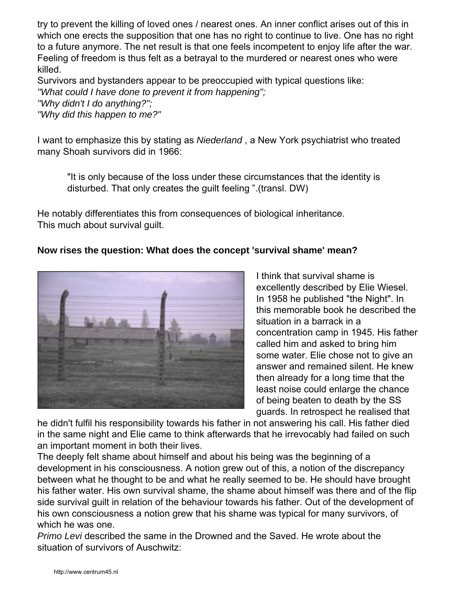try to prevent the killing of loved ones / nearest ones. An inner conflict arises out of this in which one erects the supposition that one has no right to continue to live. One has no right to a future anymore. The net result is that one feels incompetent to enjoy life after the war. Feeling of freedom is thus felt as a betrayal to the murdered or nearest ones who were killed.

Survivors and bystanders appear to be preoccupied with typical questions like: *"What could I have done to prevent it from happening"; "Why didn't I do anything?"; "Why did this happen to me?"*

I want to emphasize this by stating as *Niederland* , a New York psychiatrist who treated many Shoah survivors did in 1966:

"It is only because of the loss under these circumstances that the identity is disturbed. That only creates the guilt feeling ".(transl. DW)

He notably differentiates this from consequences of biological inheritance. This much about survival guilt.

## **Now rises the question: What does the concept 'survival shame' mean?**



I think that survival shame is excellently described by Elie Wiesel. In 1958 he published "the Night". In this memorable book he described the situation in a barrack in a concentration camp in 1945. His father called him and asked to bring him some water. Elie chose not to give an answer and remained silent. He knew then already for a long time that the least noise could enlarge the chance of being beaten to death by the SS guards. In retrospect he realised that

he didn't fulfil his responsibility towards his father in not answering his call. His father died in the same night and Elie came to think afterwards that he irrevocably had failed on such an important moment in both their lives.

The deeply felt shame about himself and about his being was the beginning of a development in his consciousness. A notion grew out of this, a notion of the discrepancy between what he thought to be and what he really seemed to be. He should have brought his father water. His own survival shame, the shame about himself was there and of the flip side survival guilt in relation of the behaviour towards his father. Out of the development of his own consciousness a notion grew that his shame was typical for many survivors, of which he was one.

*Primo Levi* described the same in the Drowned and the Saved. He wrote about the situation of survivors of Auschwitz: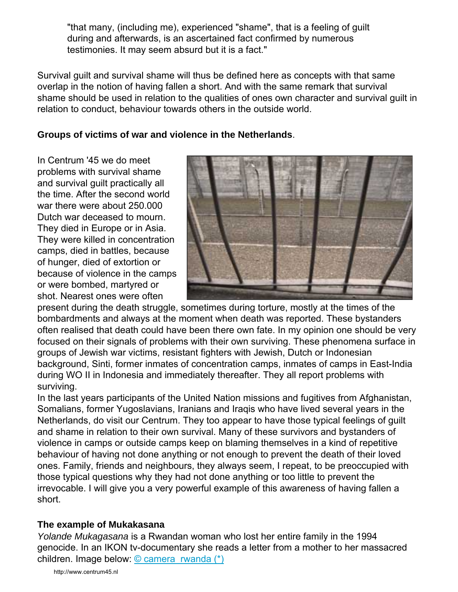"that many, (including me), experienced "shame", that is a feeling of guilt during and afterwards, is an ascertained fact confirmed by numerous testimonies. It may seem absurd but it is a fact."

Survival guilt and survival shame will thus be defined here as concepts with that same overlap in the notion of having fallen a short. And with the same remark that survival shame should be used in relation to the qualities of ones own character and survival guilt in relation to conduct, behaviour towards others in the outside world.

## **Groups of victims of war and violence in the Netherlands**.

In Centrum '45 we do meet problems with survival shame and survival guilt practically all the time. After the second world war there were about 250.000 Dutch war deceased to mourn. They died in Europe or in Asia. They were killed in concentration camps, died in battles, because of hunger, died of extortion or because of violence in the camps or were bombed, martyred or shot. Nearest ones were often



present during the death struggle, sometimes during torture, mostly at the times of the bombardments and always at the moment when death was reported. These bystanders often realised that death could have been there own fate. In my opinion one should be very focused on their signals of problems with their own surviving. These phenomena surface in groups of Jewish war victims, resistant fighters with Jewish, Dutch or Indonesian background, Sinti, former inmates of concentration camps, inmates of camps in East-India during WO II in Indonesia and immediately thereafter. They all report problems with surviving.

In the last years participants of the United Nation missions and fugitives from Afghanistan, Somalians, former Yugoslavians, Iranians and Iraqis who have lived several years in the Netherlands, do visit our Centrum. They too appear to have those typical feelings of guilt and shame in relation to their own survival. Many of these survivors and bystanders of violence in camps or outside camps keep on blaming themselves in a kind of repetitive behaviour of having not done anything or not enough to prevent the death of their loved ones. Family, friends and neighbours, they always seem, I repeat, to be preoccupied with those typical questions why they had not done anything or too little to prevent the irrevocable. I will give you a very powerful example of this awareness of having fallen a short.

## **The example of Mukakasana**

*Yolande Mukagasana* is a Rwandan woman who lost her entire family in the 1994 genocide. In an IKON tv-documentary she reads a letter from a mother to her massacred children. Image below: [© camera\\_rwanda \(\\*\)](http://www.flickr.com/photos/36567804@N00/92559763/)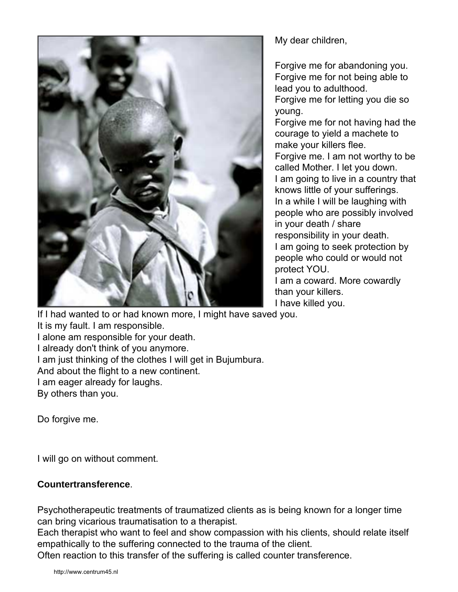

My dear children,

Forgive me for abandoning you. Forgive me for not being able to lead you to adulthood. Forgive me for letting you die so

young.

Forgive me for not having had the courage to yield a machete to make your killers flee. Forgive me. I am not worthy to be called Mother. I let you down. I am going to live in a country that knows little of your sufferings. In a while I will be laughing with people who are possibly involved in your death / share responsibility in your death. I am going to seek protection by people who could or would not protect YOU. I am a coward. More cowardly than your killers. I have killed you.

If I had wanted to or had known more, I might have saved you. It is my fault. I am responsible. I alone am responsible for your death. I already don't think of you anymore. I am just thinking of the clothes I will get in Bujumbura. And about the flight to a new continent. I am eager already for laughs. By others than you.

Do forgive me.

I will go on without comment.

## **Countertransference**.

Psychotherapeutic treatments of traumatized clients as is being known for a longer time can bring vicarious traumatisation to a therapist.

Each therapist who want to feel and show compassion with his clients, should relate itself empathically to the suffering connected to the trauma of the client.

Often reaction to this transfer of the suffering is called counter transference.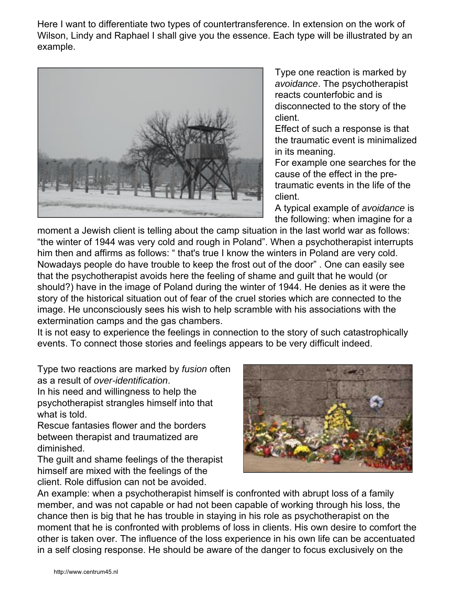Here I want to differentiate two types of countertransference. In extension on the work of Wilson, Lindy and Raphael I shall give you the essence. Each type will be illustrated by an example.



Type one reaction is marked by *avoidance*. The psychotherapist reacts counterfobic and is disconnected to the story of the client.

Effect of such a response is that the traumatic event is minimalized in its meaning.

For example one searches for the cause of the effect in the pretraumatic events in the life of the client.

A typical example of *avoidance* is the following: when imagine for a

moment a Jewish client is telling about the camp situation in the last world war as follows: "the winter of 1944 was very cold and rough in Poland". When a psychotherapist interrupts him then and affirms as follows: " that's true I know the winters in Poland are very cold. Nowadays people do have trouble to keep the frost out of the door" . One can easily see that the psychotherapist avoids here the feeling of shame and guilt that he would (or should?) have in the image of Poland during the winter of 1944. He denies as it were the story of the historical situation out of fear of the cruel stories which are connected to the image. He unconsciously sees his wish to help scramble with his associations with the extermination camps and the gas chambers.

It is not easy to experience the feelings in connection to the story of such catastrophically events. To connect those stories and feelings appears to be very difficult indeed.

Type two reactions are marked by *fusion* often as a result of *over-identification*.

In his need and willingness to help the psychotherapist strangles himself into that what is told.

Rescue fantasies flower and the borders between therapist and traumatized are diminished.

The guilt and shame feelings of the therapist himself are mixed with the feelings of the client. Role diffusion can not be avoided.



An example: when a psychotherapist himself is confronted with abrupt loss of a family member, and was not capable or had not been capable of working through his loss, the chance then is big that he has trouble in staying in his role as psychotherapist on the moment that he is confronted with problems of loss in clients. His own desire to comfort the other is taken over. The influence of the loss experience in his own life can be accentuated in a self closing response. He should be aware of the danger to focus exclusively on the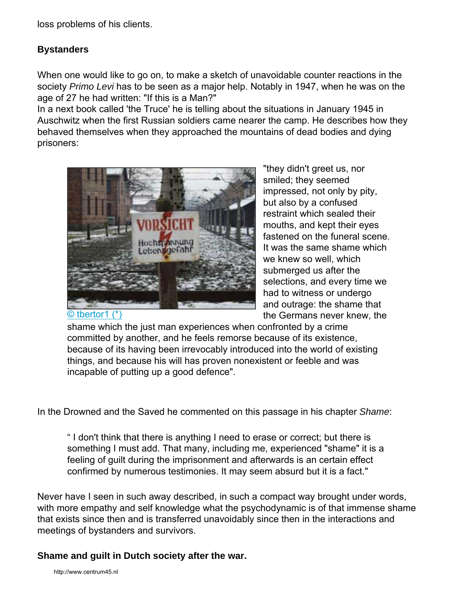loss problems of his clients.

#### **Bystanders**

When one would like to go on, to make a sketch of unavoidable counter reactions in the society *Primo Levi* has to be seen as a major help. Notably in 1947, when he was on the age of 27 he had written: "If this is a Man?"

In a next book called 'the Truce' he is telling about the situations in January 1945 in Auschwitz when the first Russian soldiers came nearer the camp. He describes how they behaved themselves when they approached the mountains of dead bodies and dying prisoners:



[© tbertor1 \(\\*\)](http://flickr.com/photos/45456857@N00/67588229/)

"they didn't greet us, nor smiled; they seemed impressed, not only by pity, but also by a confused restraint which sealed their mouths, and kept their eyes fastened on the funeral scene. It was the same shame which we knew so well, which submerged us after the selections, and every time we had to witness or undergo and outrage: the shame that the Germans never knew, the

shame which the just man experiences when confronted by a crime committed by another, and he feels remorse because of its existence, because of its having been irrevocably introduced into the world of existing things, and because his will has proven nonexistent or feeble and was incapable of putting up a good defence".

In the Drowned and the Saved he commented on this passage in his chapter *Shame*:

" I don't think that there is anything I need to erase or correct; but there is something I must add. That many, including me, experienced "shame" it is a feeling of guilt during the imprisonment and afterwards is an certain effect confirmed by numerous testimonies. It may seem absurd but it is a fact."

Never have I seen in such away described, in such a compact way brought under words, with more empathy and self knowledge what the psychodynamic is of that immense shame that exists since then and is transferred unavoidably since then in the interactions and meetings of bystanders and survivors.

#### **Shame and guilt in Dutch society after the war.**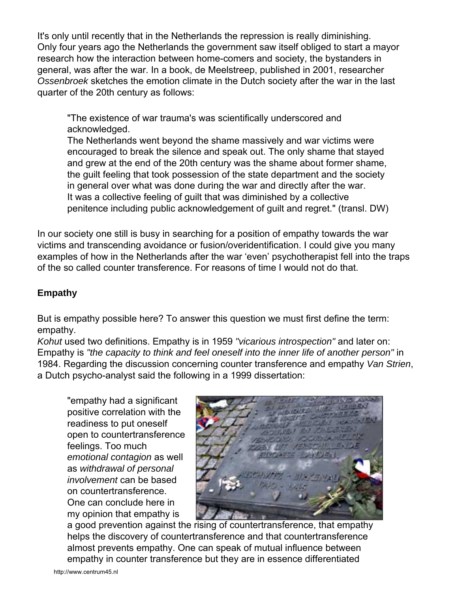It's only until recently that in the Netherlands the repression is really diminishing. Only four years ago the Netherlands the government saw itself obliged to start a mayor research how the interaction between home-comers and society, the bystanders in general, was after the war. In a book, de Meelstreep, published in 2001, researcher *Ossenbroek* sketches the emotion climate in the Dutch society after the war in the last quarter of the 20th century as follows:

"The existence of war trauma's was scientifically underscored and acknowledged.

The Netherlands went beyond the shame massively and war victims were encouraged to break the silence and speak out. The only shame that stayed and grew at the end of the 20th century was the shame about former shame, the guilt feeling that took possession of the state department and the society in general over what was done during the war and directly after the war. It was a collective feeling of guilt that was diminished by a collective penitence including public acknowledgement of guilt and regret." (transl. DW)

In our society one still is busy in searching for a position of empathy towards the war victims and transcending avoidance or fusion/overidentification. I could give you many examples of how in the Netherlands after the war 'even' psychotherapist fell into the traps of the so called counter transference. For reasons of time I would not do that.

## **Empathy**

But is empathy possible here? To answer this question we must first define the term: empathy.

*Kohut* used two definitions. Empathy is in 1959 *"vicarious introspection"* and later on: Empathy is *"the capacity to think and feel oneself into the inner life of another person"* in 1984. Regarding the discussion concerning counter transference and empathy *Van Strien*, a Dutch psycho-analyst said the following in a 1999 dissertation:

"empathy had a significant positive correlation with the readiness to put oneself open to countertransference feelings. Too much *emotional contagion* as well as *withdrawal of personal involvement* can be based on countertransference. One can conclude here in my opinion that empathy is



a good prevention against the rising of countertransference, that empathy helps the discovery of countertransference and that countertransference almost prevents empathy. One can speak of mutual influence between empathy in counter transference but they are in essence differentiated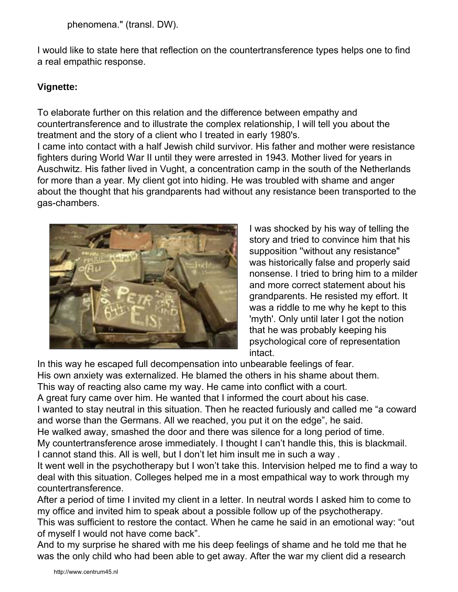phenomena." (transl. DW).

I would like to state here that reflection on the countertransference types helps one to find a real empathic response.

#### **Vignette:**

To elaborate further on this relation and the difference between empathy and countertransference and to illustrate the complex relationship, I will tell you about the treatment and the story of a client who I treated in early 1980's. I came into contact with a half Jewish child survivor. His father and mother were resistance fighters during World War II until they were arrested in 1943. Mother lived for years in Auschwitz. His father lived in Vught, a concentration camp in the south of the Netherlands for more than a year. My client got into hiding. He was troubled with shame and anger about the thought that his grandparents had without any resistance been transported to the gas-chambers.



I was shocked by his way of telling the story and tried to convince him that his supposition ''without any resistance" was historically false and properly said nonsense. I tried to bring him to a milder and more correct statement about his grandparents. He resisted my effort. It was a riddle to me why he kept to this 'myth'. Only until later I got the notion that he was probably keeping his psychological core of representation intact.

In this way he escaped full decompensation into unbearable feelings of fear.

His own anxiety was externalized. He blamed the others in his shame about them.

This way of reacting also came my way. He came into conflict with a court.

A great fury came over him. He wanted that I informed the court about his case.

I wanted to stay neutral in this situation. Then he reacted furiously and called me "a coward and worse than the Germans. All we reached, you put it on the edge", he said.

He walked away, smashed the door and there was silence for a long period of time.

My countertransference arose immediately. I thought I can't handle this, this is blackmail. I cannot stand this. All is well, but I don't let him insult me in such a way .

It went well in the psychotherapy but I won't take this. Intervision helped me to find a way to deal with this situation. Colleges helped me in a most empathical way to work through my countertransference.

After a period of time I invited my client in a letter. In neutral words I asked him to come to my office and invited him to speak about a possible follow up of the psychotherapy.

This was sufficient to restore the contact. When he came he said in an emotional way: "out of myself I would not have come back".

And to my surprise he shared with me his deep feelings of shame and he told me that he was the only child who had been able to get away. After the war my client did a research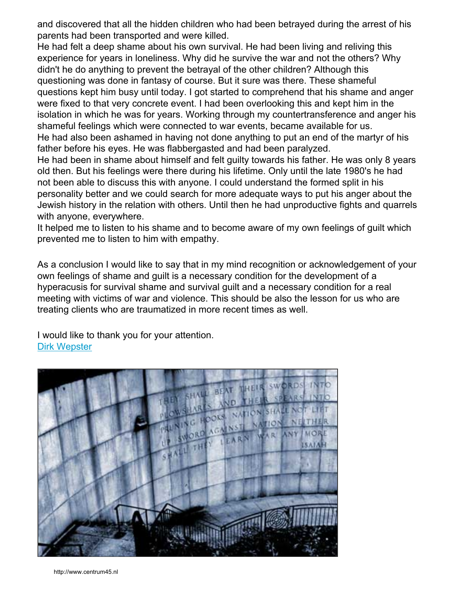and discovered that all the hidden children who had been betrayed during the arrest of his parents had been transported and were killed.

He had felt a deep shame about his own survival. He had been living and reliving this experience for years in loneliness. Why did he survive the war and not the others? Why didn't he do anything to prevent the betrayal of the other children? Although this questioning was done in fantasy of course. But it sure was there. These shameful questions kept him busy until today. I got started to comprehend that his shame and anger were fixed to that very concrete event. I had been overlooking this and kept him in the isolation in which he was for years. Working through my countertransference and anger his shameful feelings which were connected to war events, became available for us. He had also been ashamed in having not done anything to put an end of the martyr of his

father before his eyes. He was flabbergasted and had been paralyzed. He had been in shame about himself and felt guilty towards his father. He was only 8 years old then. But his feelings were there during his lifetime. Only until the late 1980's he had not been able to discuss this with anyone. I could understand the formed split in his personality better and we could search for more adequate ways to put his anger about the Jewish history in the relation with others. Until then he had unproductive fights and quarrels with anyone, everywhere.

It helped me to listen to his shame and to become aware of my own feelings of guilt which prevented me to listen to him with empathy.

As a conclusion I would like to say that in my mind recognition or acknowledgement of your own feelings of shame and guilt is a necessary condition for the development of a hyperacusis for survival shame and survival guilt and a necessary condition for a real meeting with victims of war and violence. This should be also the lesson for us who are treating clients who are traumatized in more recent times as well.

I would like to thank you for your attention. [Dirk Wepster](mailto:d.wepster@centrum45.nl)